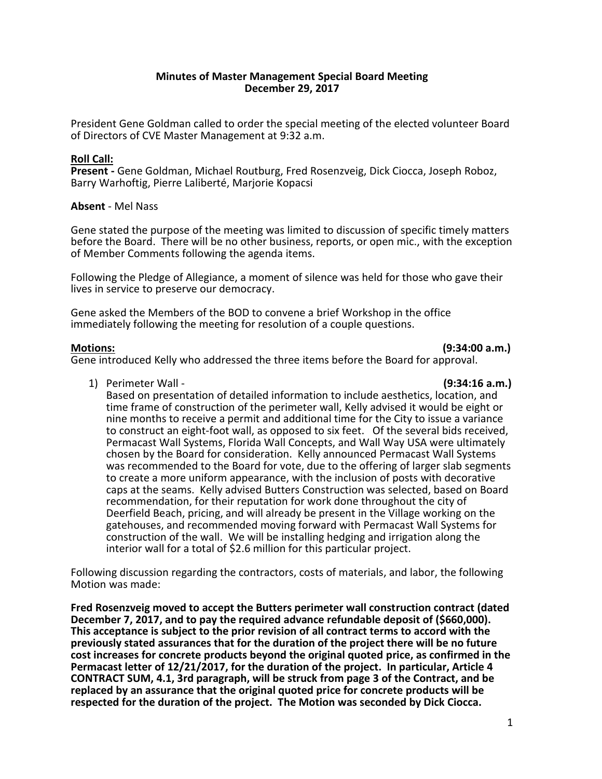# **Minutes of Master Management Special Board Meeting December 29, 2017**

President Gene Goldman called to order the special meeting of the elected volunteer Board of Directors of CVE Master Management at 9:32 a.m.

# **Roll Call:**

**Present -** Gene Goldman, Michael Routburg, Fred Rosenzveig, Dick Ciocca, Joseph Roboz, Barry Warhoftig, Pierre Laliberté, Marjorie Kopacsi

## **Absent** - Mel Nass

Gene stated the purpose of the meeting was limited to discussion of specific timely matters before the Board. There will be no other business, reports, or open mic., with the exception of Member Comments following the agenda items.

Following the Pledge of Allegiance, a moment of silence was held for those who gave their lives in service to preserve our democracy.

Gene asked the Members of the BOD to convene a brief Workshop in the office immediately following the meeting for resolution of a couple questions.

## **Motions: (9:34:00 a.m.)**

Gene introduced Kelly who addressed the three items before the Board for approval.

1) Perimeter Wall - **(9:34:16 a.m.)**

Based on presentation of detailed information to include aesthetics, location, and time frame of construction of the perimeter wall, Kelly advised it would be eight or nine months to receive a permit and additional time for the City to issue a variance to construct an eight-foot wall, as opposed to six feet. Of the several bids received, Permacast Wall Systems, Florida Wall Concepts, and Wall Way USA were ultimately chosen by the Board for consideration. Kelly announced Permacast Wall Systems was recommended to the Board for vote, due to the offering of larger slab segments to create a more uniform appearance, with the inclusion of posts with decorative caps at the seams. Kelly advised Butters Construction was selected, based on Board recommendation, for their reputation for work done throughout the city of Deerfield Beach, pricing, and will already be present in the Village working on the gatehouses, and recommended moving forward with Permacast Wall Systems for construction of the wall. We will be installing hedging and irrigation along the interior wall for a total of \$2.6 million for this particular project.

Following discussion regarding the contractors, costs of materials, and labor, the following Motion was made:

**Fred Rosenzveig moved to accept the Butters perimeter wall construction contract (dated December 7, 2017, and to pay the required advance refundable deposit of (\$660,000). This acceptance is subject to the prior revision of all contract terms to accord with the previously stated assurances that for the duration of the project there will be no future cost increases for concrete products beyond the original quoted price, as confirmed in the Permacast letter of 12/21/2017, for the duration of the project. In particular, Article 4 CONTRACT SUM, 4.1, 3rd paragraph, will be struck from page 3 of the Contract, and be replaced by an assurance that the original quoted price for concrete products will be respected for the duration of the project. The Motion was seconded by Dick Ciocca.**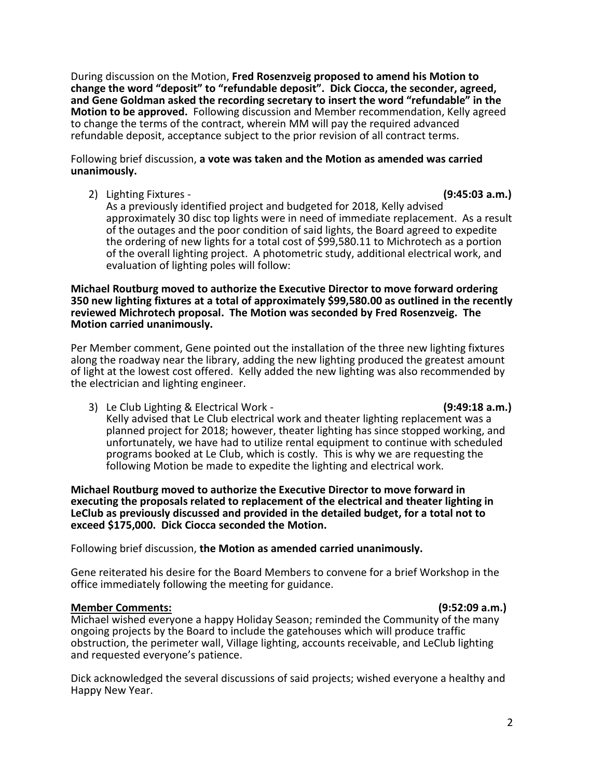During discussion on the Motion, **Fred Rosenzveig proposed to amend his Motion to change the word "deposit" to "refundable deposit". Dick Ciocca, the seconder, agreed, and Gene Goldman asked the recording secretary to insert the word "refundable" in the Motion to be approved.** Following discussion and Member recommendation, Kelly agreed to change the terms of the contract, wherein MM will pay the required advanced refundable deposit, acceptance subject to the prior revision of all contract terms.

Following brief discussion, **a vote was taken and the Motion as amended was carried unanimously.** 

2) Lighting Fixtures - **(9:45:03 a.m.)**

As a previously identified project and budgeted for 2018, Kelly advised approximately 30 disc top lights were in need of immediate replacement. As a result of the outages and the poor condition of said lights, the Board agreed to expedite the ordering of new lights for a total cost of \$99,580.11 to Michrotech as a portion of the overall lighting project. A photometric study, additional electrical work, and evaluation of lighting poles will follow:

## **Michael Routburg moved to authorize the Executive Director to move forward ordering 350 new lighting fixtures at a total of approximately \$99,580.00 as outlined in the recently reviewed Michrotech proposal. The Motion was seconded by Fred Rosenzveig. The Motion carried unanimously.**

Per Member comment, Gene pointed out the installation of the three new lighting fixtures along the roadway near the library, adding the new lighting produced the greatest amount of light at the lowest cost offered. Kelly added the new lighting was also recommended by the electrician and lighting engineer.

3) Le Club Lighting & Electrical Work - **(9:49:18 a.m.)** Kelly advised that Le Club electrical work and theater lighting replacement was a planned project for 2018; however, theater lighting has since stopped working, and unfortunately, we have had to utilize rental equipment to continue with scheduled programs booked at Le Club, which is costly. This is why we are requesting the following Motion be made to expedite the lighting and electrical work.

**Michael Routburg moved to authorize the Executive Director to move forward in executing the proposals related to replacement of the electrical and theater lighting in LeClub as previously discussed and provided in the detailed budget, for a total not to exceed \$175,000. Dick Ciocca seconded the Motion.** 

Following brief discussion, **the Motion as amended carried unanimously.**

Gene reiterated his desire for the Board Members to convene for a brief Workshop in the office immediately following the meeting for guidance.

# **Member Comments: (9:52:09 a.m.)**

Michael wished everyone a happy Holiday Season; reminded the Community of the many ongoing projects by the Board to include the gatehouses which will produce traffic obstruction, the perimeter wall, Village lighting, accounts receivable, and LeClub lighting and requested everyone's patience.

Dick acknowledged the several discussions of said projects; wished everyone a healthy and Happy New Year.